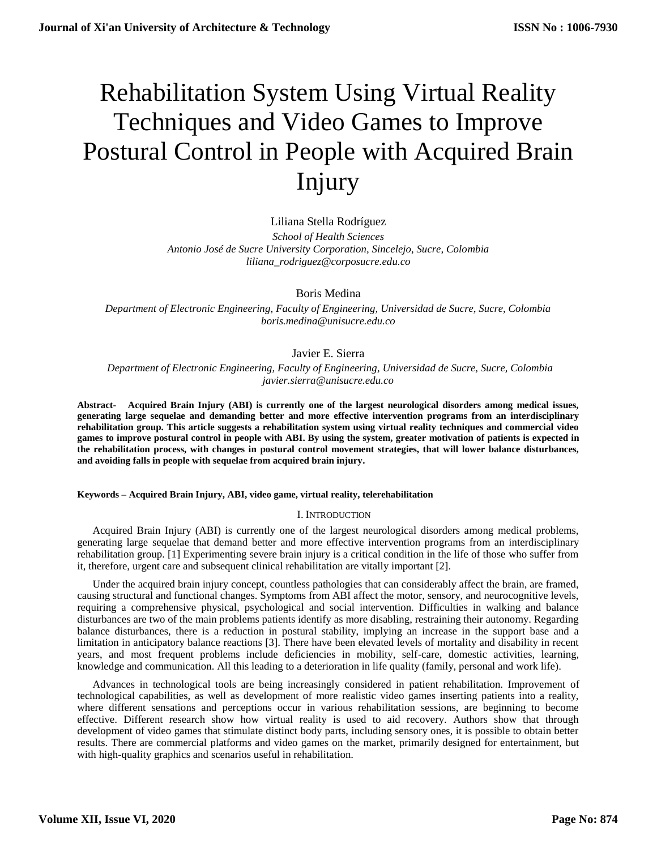# Rehabilitation System Using Virtual Reality Techniques and Video Games to Improve Postural Control in People with Acquired Brain Injury

# Liliana Stella Rodríguez

*School of Health Sciences Antonio José de Sucre University Corporation, Sincelejo, Sucre, Colombia liliana\_rodriguez@corposucre.edu.co*

Boris Medina

*Department of Electronic Engineering, Faculty of Engineering, Universidad de Sucre, Sucre, Colombia boris.medina@unisucre.edu.co*

# Javier E. Sierra

 *Department of Electronic Engineering, Faculty of Engineering, Universidad de Sucre, Sucre, Colombia javier.sierra@unisucre.edu.co* 

**Abstract- Acquired Brain Injury (ABI) is currently one of the largest neurological disorders among medical issues, generating large sequelae and demanding better and more effective intervention programs from an interdisciplinary rehabilitation group. This article suggests a rehabilitation system using virtual reality techniques and commercial video games to improve postural control in people with ABI. By using the system, greater motivation of patients is expected in the rehabilitation process, with changes in postural control movement strategies, that will lower balance disturbances, and avoiding falls in people with sequelae from acquired brain injury.**

## **Keywords – Acquired Brain Injury, ABI, video game, virtual reality, telerehabilitation**

## I. INTRODUCTION

Acquired Brain Injury (ABI) is currently one of the largest neurological disorders among medical problems, generating large sequelae that demand better and more effective intervention programs from an interdisciplinary rehabilitation group. [1] Experimenting severe brain injury is a critical condition in the life of those who suffer from it, therefore, urgent care and subsequent clinical rehabilitation are vitally important [2].

Under the acquired brain injury concept, countless pathologies that can considerably affect the brain, are framed, causing structural and functional changes. Symptoms from ABI affect the motor, sensory, and neurocognitive levels, requiring a comprehensive physical, psychological and social intervention. Difficulties in walking and balance disturbances are two of the main problems patients identify as more disabling, restraining their autonomy. Regarding balance disturbances, there is a reduction in postural stability, implying an increase in the support base and a limitation in anticipatory balance reactions [3]. There have been elevated levels of mortality and disability in recent years, and most frequent problems include deficiencies in mobility, self-care, domestic activities, learning, knowledge and communication. All this leading to a deterioration in life quality (family, personal and work life).

Advances in technological tools are being increasingly considered in patient rehabilitation. Improvement of technological capabilities, as well as development of more realistic video games inserting patients into a reality, where different sensations and perceptions occur in various rehabilitation sessions, are beginning to become effective. Different research show how virtual reality is used to aid recovery. Authors show that through development of video games that stimulate distinct body parts, including sensory ones, it is possible to obtain better results. There are commercial platforms and video games on the market, primarily designed for entertainment, but with high-quality graphics and scenarios useful in rehabilitation.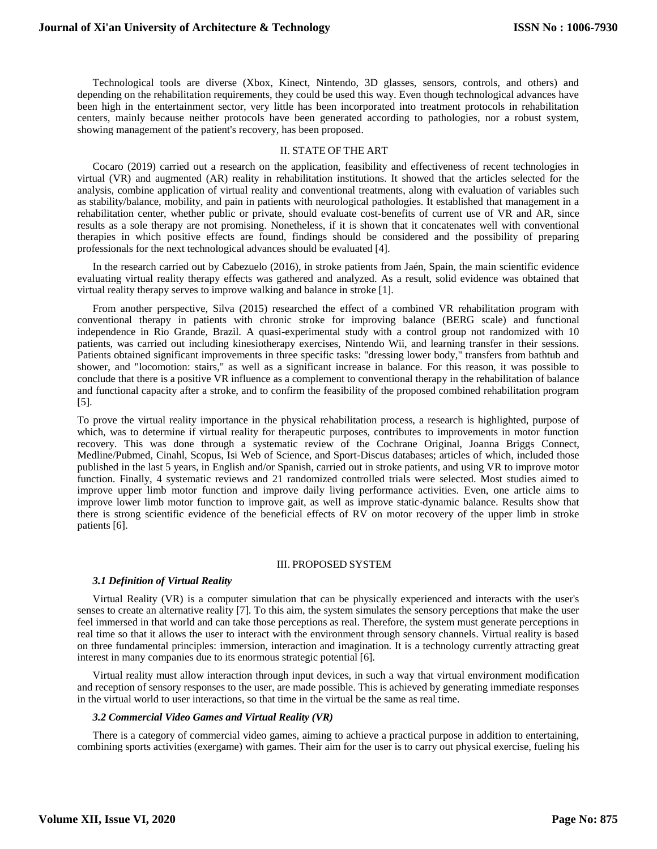Technological tools are diverse (Xbox, Kinect, Nintendo, 3D glasses, sensors, controls, and others) and depending on the rehabilitation requirements, they could be used this way. Even though technological advances have been high in the entertainment sector, very little has been incorporated into treatment protocols in rehabilitation centers, mainly because neither protocols have been generated according to pathologies, nor a robust system, showing management of the patient's recovery, has been proposed.

## II. STATE OF THE ART

Cocaro (2019) carried out a research on the application, feasibility and effectiveness of recent technologies in virtual (VR) and augmented (AR) reality in rehabilitation institutions. It showed that the articles selected for the analysis, combine application of virtual reality and conventional treatments, along with evaluation of variables such as stability/balance, mobility, and pain in patients with neurological pathologies. It established that management in a rehabilitation center, whether public or private, should evaluate cost-benefits of current use of VR and AR, since results as a sole therapy are not promising. Nonetheless, if it is shown that it concatenates well with conventional therapies in which positive effects are found, findings should be considered and the possibility of preparing professionals for the next technological advances should be evaluated [4].

In the research carried out by Cabezuelo (2016), in stroke patients from Jaén, Spain, the main scientific evidence evaluating virtual reality therapy effects was gathered and analyzed. As a result, solid evidence was obtained that virtual reality therapy serves to improve walking and balance in stroke [1].

From another perspective, Silva (2015) researched the effect of a combined VR rehabilitation program with conventional therapy in patients with chronic stroke for improving balance (BERG scale) and functional independence in Rio Grande, Brazil. A quasi-experimental study with a control group not randomized with 10 patients, was carried out including kinesiotherapy exercises, Nintendo Wii, and learning transfer in their sessions. Patients obtained significant improvements in three specific tasks: "dressing lower body," transfers from bathtub and shower, and "locomotion: stairs," as well as a significant increase in balance. For this reason, it was possible to conclude that there is a positive VR influence as a complement to conventional therapy in the rehabilitation of balance and functional capacity after a stroke, and to confirm the feasibility of the proposed combined rehabilitation program [5].

To prove the virtual reality importance in the physical rehabilitation process, a research is highlighted, purpose of which, was to determine if virtual reality for therapeutic purposes, contributes to improvements in motor function recovery. This was done through a systematic review of the Cochrane Original, Joanna Briggs Connect, Medline/Pubmed, Cinahl, Scopus, Isi Web of Science, and Sport-Discus databases; articles of which, included those published in the last 5 years, in English and/or Spanish, carried out in stroke patients, and using VR to improve motor function. Finally, 4 systematic reviews and 21 randomized controlled trials were selected. Most studies aimed to improve upper limb motor function and improve daily living performance activities. Even, one article aims to improve lower limb motor function to improve gait, as well as improve static-dynamic balance. Results show that there is strong scientific evidence of the beneficial effects of RV on motor recovery of the upper limb in stroke patients [6].

#### III. PROPOSED SYSTEM

## *3.1 Definition of Virtual Reality*

Virtual Reality (VR) is a computer simulation that can be physically experienced and interacts with the user's senses to create an alternative reality [7]. To this aim, the system simulates the sensory perceptions that make the user feel immersed in that world and can take those perceptions as real. Therefore, the system must generate perceptions in real time so that it allows the user to interact with the environment through sensory channels. Virtual reality is based on three fundamental principles: immersion, interaction and imagination. It is a technology currently attracting great interest in many companies due to its enormous strategic potential [6].

Virtual reality must allow interaction through input devices, in such a way that virtual environment modification and reception of sensory responses to the user, are made possible. This is achieved by generating immediate responses in the virtual world to user interactions, so that time in the virtual be the same as real time.

## *3.2 Commercial Video Games and Virtual Reality (VR)*

There is a category of commercial video games, aiming to achieve a practical purpose in addition to entertaining, combining sports activities (exergame) with games. Their aim for the user is to carry out physical exercise, fueling his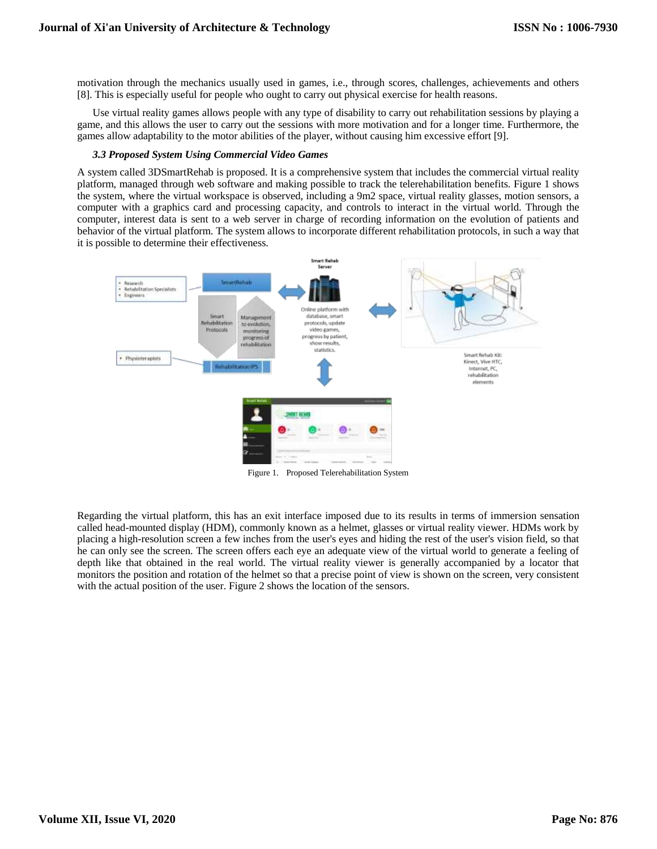motivation through the mechanics usually used in games, i.e., through scores, challenges, achievements and others [8]. This is especially useful for people who ought to carry out physical exercise for health reasons.

Use virtual reality games allows people with any type of disability to carry out rehabilitation sessions by playing a game, and this allows the user to carry out the sessions with more motivation and for a longer time. Furthermore, the games allow adaptability to the motor abilities of the player, without causing him excessive effort [9].

#### *3.3 Proposed System Using Commercial Video Games*

A system called 3DSmartRehab is proposed. It is a comprehensive system that includes the commercial virtual reality platform, managed through web software and making possible to track the telerehabilitation benefits. Figure 1 shows the system, where the virtual workspace is observed, including a 9m2 space, virtual reality glasses, motion sensors, a computer with a graphics card and processing capacity, and controls to interact in the virtual world. Through the computer, interest data is sent to a web server in charge of recording information on the evolution of patients and behavior of the virtual platform. The system allows to incorporate different rehabilitation protocols, in such a way that it is possible to determine their effectiveness.



Figure 1. Proposed Telerehabilitation System

Regarding the virtual platform, this has an exit interface imposed due to its results in terms of immersion sensation called head-mounted display (HDM), commonly known as a helmet, glasses or virtual reality viewer. HDMs work by placing a high-resolution screen a few inches from the user's eyes and hiding the rest of the user's vision field, so that he can only see the screen. The screen offers each eye an adequate view of the virtual world to generate a feeling of depth like that obtained in the real world. The virtual reality viewer is generally accompanied by a locator that monitors the position and rotation of the helmet so that a precise point of view is shown on the screen, very consistent with the actual position of the user. Figure 2 shows the location of the sensors.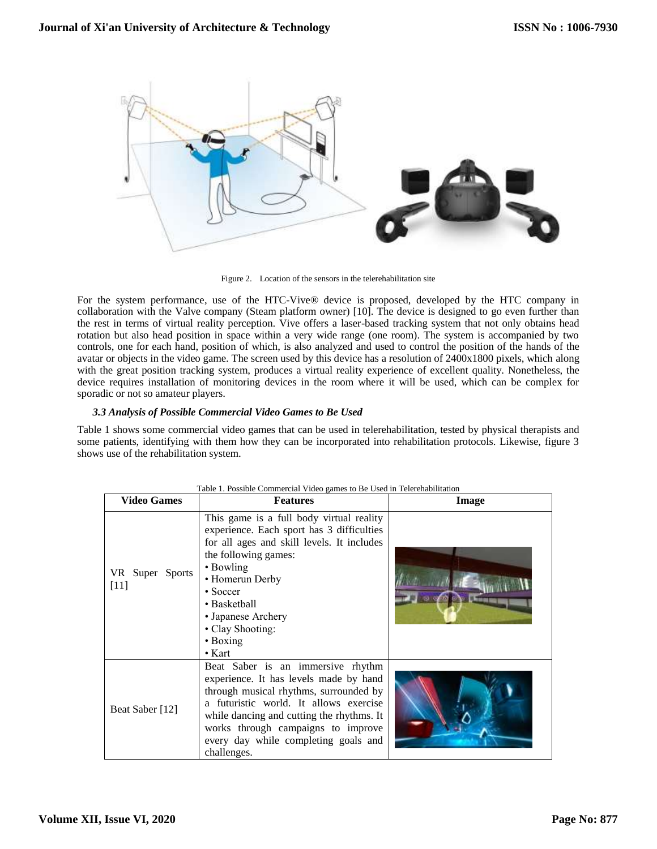

Figure 2. Location of the sensors in the telerehabilitation site

For the system performance, use of the HTC-Vive® device is proposed, developed by the HTC company in collaboration with the Valve company (Steam platform owner) [10]. The device is designed to go even further than the rest in terms of virtual reality perception. Vive offers a laser-based tracking system that not only obtains head rotation but also head position in space within a very wide range (one room). The system is accompanied by two controls, one for each hand, position of which, is also analyzed and used to control the position of the hands of the avatar or objects in the video game. The screen used by this device has a resolution of 2400x1800 pixels, which along with the great position tracking system, produces a virtual reality experience of excellent quality. Nonetheless, the device requires installation of monitoring devices in the room where it will be used, which can be complex for sporadic or not so amateur players.

## *3.3 Analysis of Possible Commercial Video Games to Be Used*

Table 1 shows some commercial video games that can be used in telerehabilitation, tested by physical therapists and some patients, identifying with them how they can be incorporated into rehabilitation protocols. Likewise, figure 3 shows use of the rehabilitation system.

| <b>Video Games</b>        | <b>Features</b>                                                                                                                                                                                                                                                                                               | Image |
|---------------------------|---------------------------------------------------------------------------------------------------------------------------------------------------------------------------------------------------------------------------------------------------------------------------------------------------------------|-------|
| VR Super Sports<br>$[11]$ | This game is a full body virtual reality<br>experience. Each sport has 3 difficulties<br>for all ages and skill levels. It includes<br>the following games:<br>• Bowling<br>• Homerun Derby<br>$\cdot$ Soccer<br>• Basketball<br>• Japanese Archery<br>• Clay Shooting:<br>$\bullet$ Boxing<br>$\bullet$ Kart |       |
| Beat Saber [12]           | Beat Saber is an immersive rhythm<br>experience. It has levels made by hand<br>through musical rhythms, surrounded by<br>a futuristic world. It allows exercise<br>while dancing and cutting the rhythms. It<br>works through campaigns to improve<br>every day while completing goals and<br>challenges.     |       |

#### Table 1. Possible Commercial Video games to Be Used in Telerehabilitation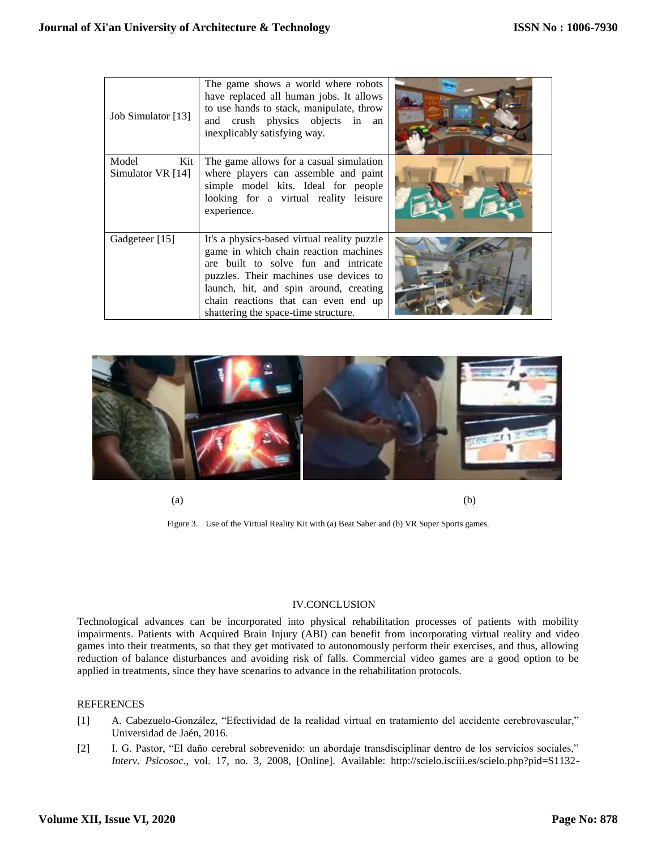| Job Simulator [13]                | The game shows a world where robots<br>have replaced all human jobs. It allows<br>to use hands to stack, manipulate, throw<br>and crush physics objects in an<br>inexplicably satisfying way.                                                                                                    |  |
|-----------------------------------|--------------------------------------------------------------------------------------------------------------------------------------------------------------------------------------------------------------------------------------------------------------------------------------------------|--|
| Model<br>Kit<br>Simulator VR [14] | The game allows for a casual simulation<br>where players can assemble and paint<br>simple model kits. Ideal for people<br>looking for a virtual reality leisure<br>experience.                                                                                                                   |  |
| Gadgeteer [15]                    | It's a physics-based virtual reality puzzle<br>game in which chain reaction machines<br>are built to solve fun and intricate<br>puzzles. Their machines use devices to<br>launch, hit, and spin around, creating<br>chain reactions that can even end up<br>shattering the space-time structure. |  |



 $(a)$  (b)

Figure 3. Use of the Virtual Reality Kit with (a) Beat Saber and (b) VR Super Sports games.

## IV.CONCLUSION

Technological advances can be incorporated into physical rehabilitation processes of patients with mobility impairments. Patients with Acquired Brain Injury (ABI) can benefit from incorporating virtual reality and video games into their treatments, so that they get motivated to autonomously perform their exercises, and thus, allowing reduction of balance disturbances and avoiding risk of falls. Commercial video games are a good option to be applied in treatments, since they have scenarios to advance in the rehabilitation protocols.

## REFERENCES

- [1] A. Cabezuelo-González, "Efectividad de la realidad virtual en tratamiento del accidente cerebrovascular," Universidad de Jaén, 2016.
- [2] I. G. Pastor, "El daño cerebral sobrevenido: un abordaje transdisciplinar dentro de los servicios sociales," *Interv. Psicosoc.*, vol. 17, no. 3, 2008, [Online]. Available: http://scielo.isciii.es/scielo.php?pid=S1132-